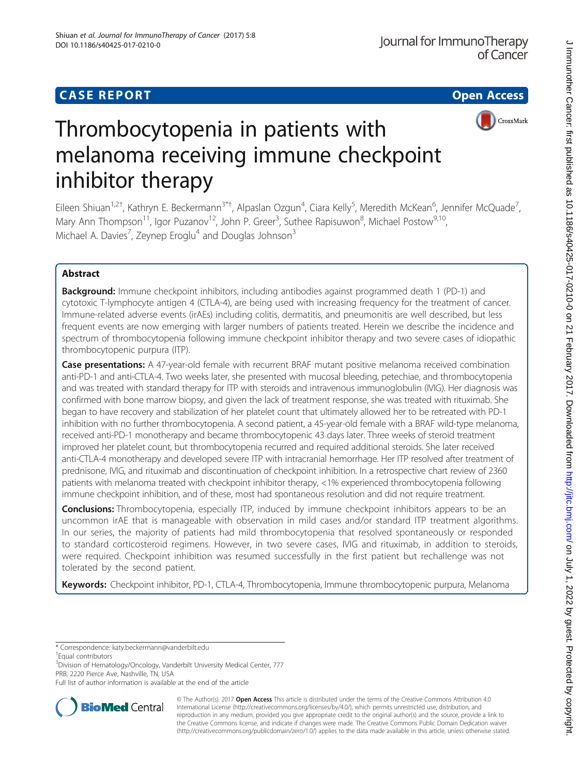

# Thrombocytopenia in patients with melanoma receiving immune checkpoint inhibitor therapy

Eileen Shiuan<sup>1,2†</sup>, Kathryn E. Beckermann<sup>3\*†</sup>, Alpaslan Ozgun<sup>4</sup>, Ciara Kelly<sup>5</sup>, Meredith McKean<sup>6</sup>, Jennifer McQuade<sup>7</sup> , Mary Ann Thompson<sup>11</sup>, Igor Puzanov<sup>12</sup>, John P. Greer<sup>3</sup>, Suthee Rapisuwon<sup>8</sup>, Michael Postow<sup>9,10</sup>, Michael A. Davies<sup>7</sup>, Zeynep Eroglu<sup>4</sup> and Douglas Johnson<sup>3</sup>

## Abstract

**Background:** Immune checkpoint inhibitors, including antibodies against programmed death 1 (PD-1) and cytotoxic T-lymphocyte antigen 4 (CTLA-4), are being used with increasing frequency for the treatment of cancer. Immune-related adverse events (irAEs) including colitis, dermatitis, and pneumonitis are well described, but less frequent events are now emerging with larger numbers of patients treated. Herein we describe the incidence and spectrum of thrombocytopenia following immune checkpoint inhibitor therapy and two severe cases of idiopathic thrombocytopenic purpura (ITP).

Case presentations: A 47-year-old female with recurrent BRAF mutant positive melanoma received combination anti-PD-1 and anti-CTLA-4. Two weeks later, she presented with mucosal bleeding, petechiae, and thrombocytopenia and was treated with standard therapy for ITP with steroids and intravenous immunoglobulin (IVIG). Her diagnosis was confirmed with bone marrow biopsy, and given the lack of treatment response, she was treated with rituximab. She began to have recovery and stabilization of her platelet count that ultimately allowed her to be retreated with PD-1 inhibition with no further thrombocytopenia. A second patient, a 45-year-old female with a BRAF wild-type melanoma, received anti-PD-1 monotherapy and became thrombocytopenic 43 days later. Three weeks of steroid treatment improved her platelet count, but thrombocytopenia recurred and required additional steroids. She later received anti-CTLA-4 monotherapy and developed severe ITP with intracranial hemorrhage. Her ITP resolved after treatment of prednisone, IVIG, and rituximab and discontinuation of checkpoint inhibition. In a retrospective chart review of 2360 patients with melanoma treated with checkpoint inhibitor therapy, <1% experienced thrombocytopenia following immune checkpoint inhibition, and of these, most had spontaneous resolution and did not require treatment.

**Conclusions:** Thrombocytopenia, especially ITP, induced by immune checkpoint inhibitors appears to be an uncommon irAE that is manageable with observation in mild cases and/or standard ITP treatment algorithms. In our series, the majority of patients had mild thrombocytopenia that resolved spontaneously or responded to standard corticosteroid regimens. However, in two severe cases, IVIG and rituximab, in addition to steroids, were required. Checkpoint inhibition was resumed successfully in the first patient but rechallenge was not tolerated by the second patient.

Keywords: Checkpoint inhibitor, PD-1, CTLA-4, Thrombocytopenia, Immune thrombocytopenic purpura, Melanoma

\* Correspondence: [katy.beckermann@vanderbilt.edu](mailto:katy.beckermann@vanderbilt.edu) †

<sup>+</sup>Equal contributors

<sup>3</sup>Division of Hematology/Oncology, Vanderbilt University Medical Center, 777 PRB, 2220 Pierce Ave, Nashville, TN, USA

Full list of author information is available at the end of the article



© The Author(s). 2017 **Open Access** This article is distributed under the terms of the Creative Commons Attribution 4.0 International License [\(http://creativecommons.org/licenses/by/4.0/](http://creativecommons.org/licenses/by/4.0/)), which permits unrestricted use, distribution, and reproduction in any medium, provided you give appropriate credit to the original author(s) and the source, provide a link to the Creative Commons license, and indicate if changes were made. The Creative Commons Public Domain Dedication waiver [\(http://creativecommons.org/publicdomain/zero/1.0/](http://creativecommons.org/publicdomain/zero/1.0/)) applies to the data made available in this article, unless otherwise stated.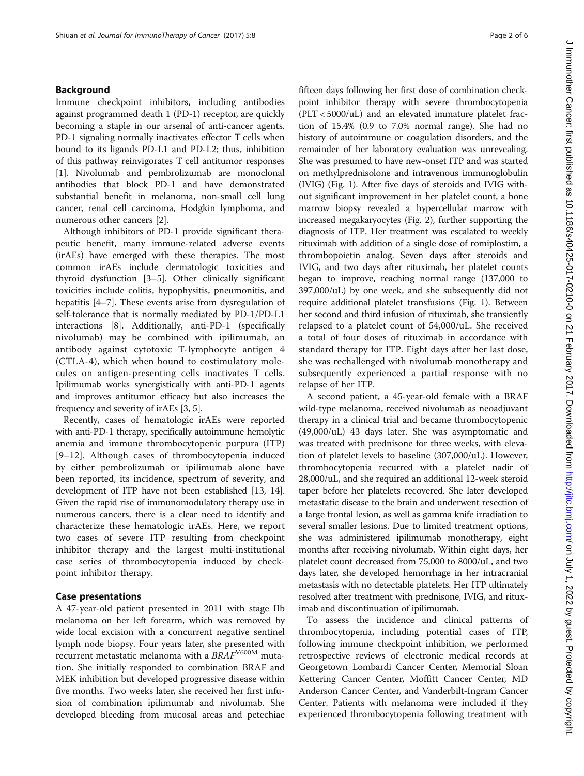## Background

Immune checkpoint inhibitors, including antibodies against programmed death 1 (PD-1) receptor, are quickly becoming a staple in our arsenal of anti-cancer agents. PD-1 signaling normally inactivates effector T cells when bound to its ligands PD-L1 and PD-L2; thus, inhibition of this pathway reinvigorates T cell antitumor responses [[1\]](#page-4-0). Nivolumab and pembrolizumab are monoclonal antibodies that block PD-1 and have demonstrated substantial benefit in melanoma, non-small cell lung cancer, renal cell carcinoma, Hodgkin lymphoma, and numerous other cancers [\[2\]](#page-4-0).

Although inhibitors of PD-1 provide significant therapeutic benefit, many immune-related adverse events (irAEs) have emerged with these therapies. The most common irAEs include dermatologic toxicities and thyroid dysfunction [\[3](#page-4-0)–[5\]](#page-5-0). Other clinically significant toxicities include colitis, hypophysitis, pneumonitis, and hepatitis [[4](#page-5-0)–[7\]](#page-5-0). These events arise from dysregulation of self-tolerance that is normally mediated by PD-1/PD-L1 interactions [\[8\]](#page-5-0). Additionally, anti-PD-1 (specifically nivolumab) may be combined with ipilimumab, an antibody against cytotoxic T-lymphocyte antigen 4 (CTLA-4), which when bound to costimulatory molecules on antigen-presenting cells inactivates T cells. Ipilimumab works synergistically with anti-PD-1 agents and improves antitumor efficacy but also increases the frequency and severity of irAEs [\[3](#page-4-0), [5](#page-5-0)].

Recently, cases of hematologic irAEs were reported with anti-PD-1 therapy, specifically autoimmune hemolytic anemia and immune thrombocytopenic purpura (ITP) [[9](#page-5-0)–[12](#page-5-0)]. Although cases of thrombocytopenia induced by either pembrolizumab or ipilimumab alone have been reported, its incidence, spectrum of severity, and development of ITP have not been established [[13](#page-5-0), [14](#page-5-0)]. Given the rapid rise of immunomodulatory therapy use in numerous cancers, there is a clear need to identify and characterize these hematologic irAEs. Here, we report two cases of severe ITP resulting from checkpoint inhibitor therapy and the largest multi-institutional case series of thrombocytopenia induced by checkpoint inhibitor therapy.

### Case presentations

A 47-year-old patient presented in 2011 with stage IIb melanoma on her left forearm, which was removed by wide local excision with a concurrent negative sentinel lymph node biopsy. Four years later, she presented with recurrent metastatic melanoma with a  $\mathit{BRAF}^{\rm V600M}$  mutation. She initially responded to combination BRAF and MEK inhibition but developed progressive disease within five months. Two weeks later, she received her first infusion of combination ipilimumab and nivolumab. She developed bleeding from mucosal areas and petechiae fifteen days following her first dose of combination checkpoint inhibitor therapy with severe thrombocytopenia (PLT < 5000/uL) and an elevated immature platelet fraction of 15.4% (0.9 to 7.0% normal range). She had no history of autoimmune or coagulation disorders, and the remainder of her laboratory evaluation was unrevealing. She was presumed to have new-onset ITP and was started on methylprednisolone and intravenous immunoglobulin (IVIG) (Fig. [1\)](#page-2-0). After five days of steroids and IVIG without significant improvement in her platelet count, a bone marrow biopsy revealed a hypercellular marrow with increased megakaryocytes (Fig. [2\)](#page-2-0), further supporting the diagnosis of ITP. Her treatment was escalated to weekly rituximab with addition of a single dose of romiplostim, a thrombopoietin analog. Seven days after steroids and IVIG, and two days after rituximab, her platelet counts began to improve, reaching normal range (137,000 to 397,000/uL) by one week, and she subsequently did not require additional platelet transfusions (Fig. [1](#page-2-0)). Between her second and third infusion of rituximab, she transiently relapsed to a platelet count of 54,000/uL. She received a total of four doses of rituximab in accordance with standard therapy for ITP. Eight days after her last dose, she was rechallenged with nivolumab monotherapy and subsequently experienced a partial response with no relapse of her ITP.

A second patient, a 45-year-old female with a BRAF wild-type melanoma, received nivolumab as neoadjuvant therapy in a clinical trial and became thrombocytopenic (49,000/uL) 43 days later. She was asymptomatic and was treated with prednisone for three weeks, with elevation of platelet levels to baseline (307,000/uL). However, thrombocytopenia recurred with a platelet nadir of 28,000/uL, and she required an additional 12-week steroid taper before her platelets recovered. She later developed metastatic disease to the brain and underwent resection of a large frontal lesion, as well as gamma knife irradiation to several smaller lesions. Due to limited treatment options, she was administered ipilimumab monotherapy, eight months after receiving nivolumab. Within eight days, her platelet count decreased from 75,000 to 8000/uL, and two days later, she developed hemorrhage in her intracranial metastasis with no detectable platelets. Her ITP ultimately resolved after treatment with prednisone, IVIG, and rituximab and discontinuation of ipilimumab.

To assess the incidence and clinical patterns of thrombocytopenia, including potential cases of ITP, following immune checkpoint inhibition, we performed retrospective reviews of electronic medical records at Georgetown Lombardi Cancer Center, Memorial Sloan Kettering Cancer Center, Moffitt Cancer Center, MD Anderson Cancer Center, and Vanderbilt-Ingram Cancer Center. Patients with melanoma were included if they experienced thrombocytopenia following treatment with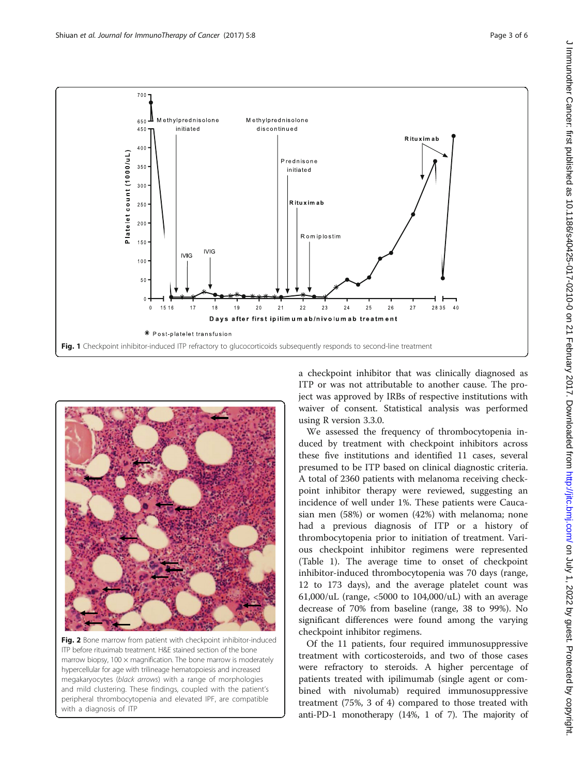<span id="page-2-0"></span>

Fig. 1 Checkpoint inhibitor-induced ITP refractory to glucocorticoids subsequently responds to second-line treatment



Fig. 2 Bone marrow from patient with checkpoint inhibitor-induced ITP before rituximab treatment. H&E stained section of the bone marrow biopsy,  $100 \times$  magnification. The bone marrow is moderately hypercellular for age with trilineage hematopoiesis and increased megakaryocytes (black arrows) with a range of morphologies and mild clustering. These findings, coupled with the patient's peripheral thrombocytopenia and elevated IPF, are compatible with a diagnosis of ITP

a checkpoint inhibitor that was clinically diagnosed as ITP or was not attributable to another cause. The project was approved by IRBs of respective institutions with waiver of consent. Statistical analysis was performed using R version 3.3.0.

We assessed the frequency of thrombocytopenia induced by treatment with checkpoint inhibitors across these five institutions and identified 11 cases, several presumed to be ITP based on clinical diagnostic criteria. A total of 2360 patients with melanoma receiving checkpoint inhibitor therapy were reviewed, suggesting an incidence of well under 1%. These patients were Caucasian men (58%) or women (42%) with melanoma; none had a previous diagnosis of ITP or a history of thrombocytopenia prior to initiation of treatment. Various checkpoint inhibitor regimens were represented (Table [1](#page-3-0)). The average time to onset of checkpoint inhibitor-induced thrombocytopenia was 70 days (range, 12 to 173 days), and the average platelet count was 61,000/uL (range,  $\langle 5000 \rangle$  to 104,000/uL) with an average decrease of 70% from baseline (range, 38 to 99%). No significant differences were found among the varying checkpoint inhibitor regimens.

Of the 11 patients, four required immunosuppressive treatment with corticosteroids, and two of those cases were refractory to steroids. A higher percentage of patients treated with ipilimumab (single agent or combined with nivolumab) required immunosuppressive treatment (75%, 3 of 4) compared to those treated with anti-PD-1 monotherapy (14%, 1 of 7). The majority of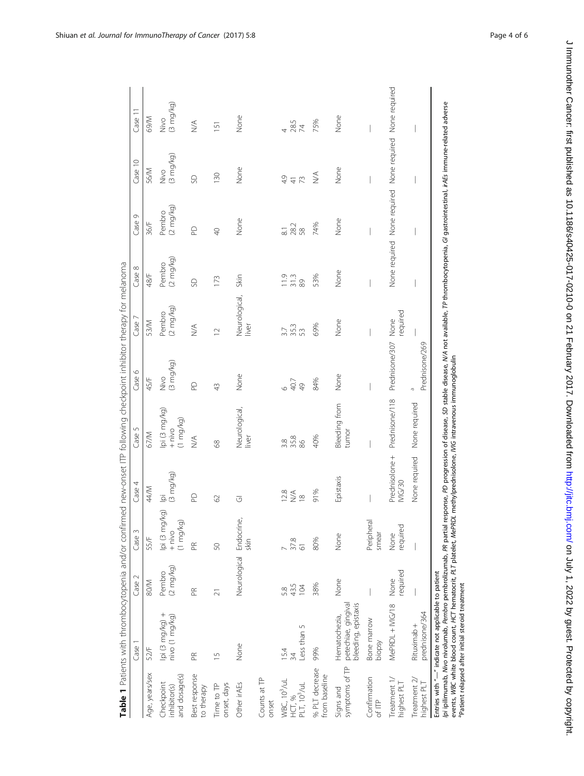<span id="page-3-0"></span>

|                                                                | Case <sup>:</sup>                                                                                                                                                                                                                                                  | Case 2                | Case 3                                          | Case 4                                     | Case 5                                          | Case 6                     | Case 7                        | Case 8                            | Ō<br>Case <sup>1</sup>                                  | Case 10                      | Case 11                    |
|----------------------------------------------------------------|--------------------------------------------------------------------------------------------------------------------------------------------------------------------------------------------------------------------------------------------------------------------|-----------------------|-------------------------------------------------|--------------------------------------------|-------------------------------------------------|----------------------------|-------------------------------|-----------------------------------|---------------------------------------------------------|------------------------------|----------------------------|
| Age, years/sex                                                 | 52/F                                                                                                                                                                                                                                                               | 80/M                  | 55/F                                            | 44/M                                       | 67/M                                            | 45/F                       | 53/M                          | 48/F                              | 36/F                                                    | 56/M                         | <b>M/69</b>                |
| and dosage(s)<br>Checkpoint<br>inhibitor(s)                    | lpi (3 mg/kg) +<br>nivo (1 mg/kg)                                                                                                                                                                                                                                  | Pembro<br>(2 mg/kg)   | lpi (3 mg/kg)<br>$(1 \text{ mg/kg})$<br>$+ niv$ | lpi<br>(3 mg/kg)                           | lpi (3 mg/kg)<br>$(1 \text{ mg/kg})$<br>$+ niv$ | (3 mg/kg)<br>Nivo          | $(2 \text{ mg/kg})$<br>Pembro | (2 mg/kg)<br>Pembro               | Pembro<br>(2 mg/kg)                                     | (3 mg/kg)<br>$\frac{8}{2}$   | (3 mg/kg)<br>$\frac{8}{2}$ |
| Best response<br>to therapy                                    | $\mathbb{R}$                                                                                                                                                                                                                                                       | $\mathbb{R}$          | $\mathbb{R}$                                    | $\mathsf{D}$                               | $\leq$                                          | $\mathsf{D}$               | $\lessgtr$                    | S                                 | $\Omega$                                                | SD                           | $\lessgtr$                 |
| Time to TP<br>onset, days                                      | $\overline{1}$                                                                                                                                                                                                                                                     | $\overline{2}$        | 50                                              | 62                                         | 68                                              | $\frac{1}{2}$              | $\overline{C}$                | 173                               | $\overline{Q}$                                          | 130                          | $\overline{5}$             |
| Other irAEs                                                    | None                                                                                                                                                                                                                                                               | Neurological Endocrin | உ<br>skin                                       | <b>J</b>                                   | Neurological,<br>liver                          | None                       | Neurological,<br>liver        | Skin                              | None                                                    | None                         | None                       |
| Counts at TP<br>onset                                          |                                                                                                                                                                                                                                                                    |                       |                                                 |                                            |                                                 |                            |                               |                                   |                                                         |                              |                            |
| WBC, 10 <sup>3</sup> /uL<br>PLT, 10 <sup>3</sup> /uL<br>HCT, % | 5<br>Less than<br>15.4<br>34                                                                                                                                                                                                                                       | 43.5<br>104<br>5.8    | 37.8<br>61                                      | $\overset{2,8}{\geq} \overset{\sim}{\geq}$ | 35.8<br>86<br>3.8                               | $40.7$                     | 35.3<br>53<br>3.7             | $\frac{0}{2}$ $\frac{0}{2}$<br>89 | 28.2<br>58<br>$\overline{\circ}$                        | 4.9<br>$\frac{4}{7}$         | 28.5<br>74                 |
| % PLT decrease<br>from baseline                                | 99%                                                                                                                                                                                                                                                                | 38%                   | 80%                                             | 91%                                        | 40%                                             | 84%                        | 69%                           | 53%                               | 74%                                                     | $\stackrel{\triangle}{\geq}$ | 75%                        |
| symptoms of TP<br>Signs and                                    | petechiae, gingival<br>bleeding, epistaxis<br>Hematochezia,                                                                                                                                                                                                        | None                  | None                                            | Epistaxis                                  | Bleeding from<br>tumor                          | None                       | None                          | None                              | None                                                    | None                         | None                       |
| Confirmation<br>of ITP                                         | Bone marrow<br>biopsy                                                                                                                                                                                                                                              |                       | Peripheral<br>smear                             |                                            |                                                 |                            |                               |                                   |                                                         |                              |                            |
| Treatment 1/<br>highest PLT                                    | MePRDL + MG/18                                                                                                                                                                                                                                                     | required<br>None      | required<br>None                                | Prednisolone +<br><b>NG/30</b>             | Prednisone/118                                  | Prednisone/307             | required<br>None              |                                   | None required None required None required None required |                              |                            |
| Treatment 2/<br>highest PLT                                    | prednisone/364<br>Rituximab +                                                                                                                                                                                                                                      |                       |                                                 | None required                              | None required                                   | Prednisone/269<br>$\sigma$ |                               |                                   |                                                         |                              |                            |
|                                                                | (pi ipilimumab, Nivo nivolumab, Pembrolizumab, PR partial response, PD progression of disease, SD stable disease, N/A not available, TP thrombocytopenia, GI gastrointestinal, irAEs immune-related adverse<br>Entries with "-" indicate not applicable to patient |                       |                                                 |                                            |                                                 |                            |                               |                                   |                                                         |                              |                            |

events, WBC white blood count, HCT hematocrit, PLT platelet, MePRDL methylprednisolone, IVIG intravenous immunoglobulin<br><sup>a</sup>Patient relapsed after initial steroid treatment events, WBC white blood count, HCT hematocrit, PLT platelet, MePRDL methylprednisolone, IVIG intravenous immunoglobulin

aPatient relapsed after initial steroid treatment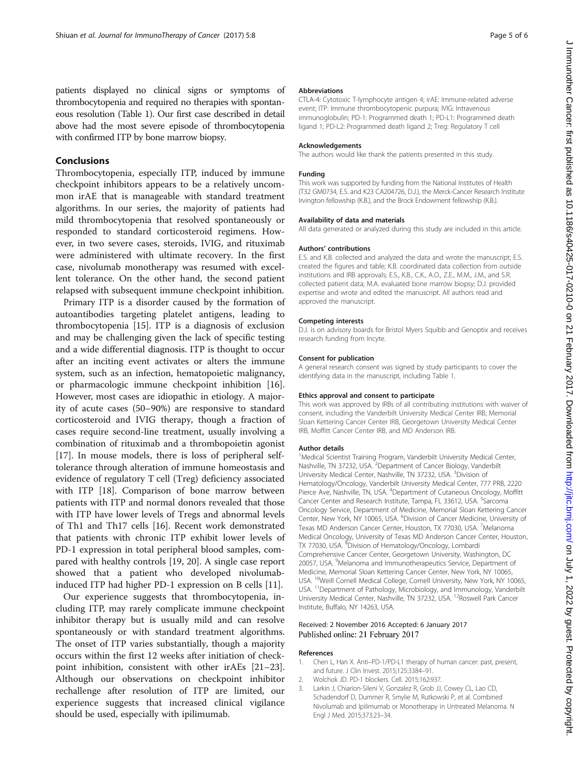<span id="page-4-0"></span>patients displayed no clinical signs or symptoms of thrombocytopenia and required no therapies with spontaneous resolution (Table [1\)](#page-3-0). Our first case described in detail above had the most severe episode of thrombocytopenia with confirmed ITP by bone marrow biopsy.

## Conclusions

Thrombocytopenia, especially ITP, induced by immune checkpoint inhibitors appears to be a relatively uncommon irAE that is manageable with standard treatment algorithms. In our series, the majority of patients had mild thrombocytopenia that resolved spontaneously or responded to standard corticosteroid regimens. However, in two severe cases, steroids, IVIG, and rituximab were administered with ultimate recovery. In the first case, nivolumab monotherapy was resumed with excellent tolerance. On the other hand, the second patient relapsed with subsequent immune checkpoint inhibition.

Primary ITP is a disorder caused by the formation of autoantibodies targeting platelet antigens, leading to thrombocytopenia [\[15\]](#page-5-0). ITP is a diagnosis of exclusion and may be challenging given the lack of specific testing and a wide differential diagnosis. ITP is thought to occur after an inciting event activates or alters the immune system, such as an infection, hematopoietic malignancy, or pharmacologic immune checkpoint inhibition [\[16](#page-5-0)]. However, most cases are idiopathic in etiology. A majority of acute cases (50–90%) are responsive to standard corticosteroid and IVIG therapy, though a fraction of cases require second-line treatment, usually involving a combination of rituximab and a thrombopoietin agonist [[17\]](#page-5-0). In mouse models, there is loss of peripheral selftolerance through alteration of immune homeostasis and evidence of regulatory T cell (Treg) deficiency associated with ITP [[18\]](#page-5-0). Comparison of bone marrow between patients with ITP and normal donors revealed that those with ITP have lower levels of Tregs and abnormal levels of Th1 and Th17 cells [[16\]](#page-5-0). Recent work demonstrated that patients with chronic ITP exhibit lower levels of PD-1 expression in total peripheral blood samples, compared with healthy controls [\[19](#page-5-0), [20](#page-5-0)]. A single case report showed that a patient who developed nivolumabinduced ITP had higher PD-1 expression on B cells [[11](#page-5-0)].

Our experience suggests that thrombocytopenia, including ITP, may rarely complicate immune checkpoint inhibitor therapy but is usually mild and can resolve spontaneously or with standard treatment algorithms. The onset of ITP varies substantially, though a majority occurs within the first 12 weeks after initiation of checkpoint inhibition, consistent with other irAEs [[21](#page-5-0)–[23](#page-5-0)]. Although our observations on checkpoint inhibitor rechallenge after resolution of ITP are limited, our experience suggests that increased clinical vigilance should be used, especially with ipilimumab.

#### Abbreviations

CTLA-4: Cytotoxic T-lymphocyte antigen 4; irAE: Immune-related adverse event; ITP: Immune thrombocytopenic purpura; IVIG: Intravenous immunoglobulin; PD-1: Programmed death 1; PD-L1: Programmed death ligand 1; PD-L2: Programmed death ligand 2; Treg: Regulatory T cell

#### Acknowledgements

The authors would like thank the patients presented in this study.

#### Funding

This work was supported by funding from the National Institutes of Health (T32 GM0734, E.S. and K23 CA204726, D.J.), the Merck-Cancer Research Institute Irvington fellowship (K.B.), and the Brock Endowment fellowship (K.B.).

#### Availability of data and materials

All data generated or analyzed during this study are included in this article.

#### Authors' contributions

E.S. and K.B. collected and analyzed the data and wrote the manuscript; E.S. created the figures and table; K.B. coordinated data collection from outside institutions and IRB approvals; E.S., K.B., C.K., A.O., Z.E., M.M., J.M., and S.R. collected patient data; M.A. evaluated bone marrow biopsy; D.J. provided expertise and wrote and edited the manuscript. All authors read and approved the manuscript.

#### Competing interests

D.J. is on advisory boards for Bristol Myers Squibb and Genoptix and receives research funding from Incyte.

#### Consent for publication

A general research consent was signed by study participants to cover the identifying data in the manuscript, including Table [1](#page-3-0).

#### Ethics approval and consent to participate

This work was approved by IRBs of all contributing institutions with waiver of consent, including the Vanderbilt University Medical Center IRB, Memorial Sloan Kettering Cancer Center IRB, Georgetown University Medical Center IRB, Moffitt Cancer Center IRB, and MD Anderson IRB.

#### Author details

<sup>1</sup>Medical Scientist Training Program, Vanderbilt University Medical Center Nashville, TN 37232, USA. <sup>2</sup> Department of Cancer Biology, Vanderbilt University Medical Center, Nashville, TN 37232, USA. <sup>3</sup>Division of Hematology/Oncology, Vanderbilt University Medical Center, 777 PRB, 2220 Pierce Ave, Nashville, TN, USA. <sup>4</sup>Department of Cutaneous Oncology, Moffitt Cancer Center and Research Institute, Tampa, FL 33612, USA. <sup>5</sup>Sarcoma Oncology Service, Department of Medicine, Memorial Sloan Kettering Cancer Center, New York, NY 10065, USA. <sup>6</sup>Division of Cancer Medicine, University of Texas MD Anderson Cancer Center, Houston, TX 77030, USA. <sup>7</sup>Melanoma Medical Oncology, University of Texas MD Anderson Cancer Center, Houston, TX 77030, USA. <sup>8</sup>Division of Hematology/Oncology, Lombardi Comprehensive Cancer Center, Georgetown University, Washington, DC 20057, USA. <sup>9</sup>Melanoma and Immunotherapeutics Service, Department of Medicine, Memorial Sloan Kettering Cancer Center, New York, NY 10065, USA. <sup>10</sup>Weill Cornell Medical College, Cornell University, New York, NY 10065, USA. <sup>11</sup>Department of Pathology, Microbiology, and Immunology, Vanderbilt University Medical Center, Nashville, TN 37232, USA. <sup>12</sup>Roswell Park Cancer Institute, Buffalo, NY 14263, USA.

#### Received: 2 November 2016 Accepted: 6 January 2017 Published online: 21 February 2017

#### References

- 1. Chen L, Han X. Anti–PD-1/PD-L1 therapy of human cancer: past, present, and future. J Clin Invest. 2015;125:3384–91.
- 2. Wolchok JD. PD-1 blockers. Cell. 2015;162:937.
- 3. Larkin J, Chiarion-Sileni V, Gonzalez R, Grob JJ, Cowey CL, Lao CD, Schadendorf D, Dummer R, Smylie M, Rutkowski P, et al. Combined Nivolumab and Ipilimumab or Monotherapy in Untreated Melanoma. N Engl J Med. 2015;373:23–34.